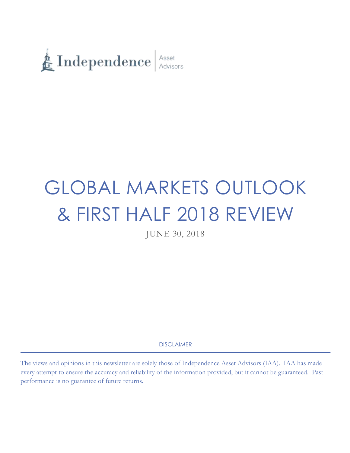

# GLOBAL MARKETS OUTLOOK & FIRST HALF 2018 REVIEW

JUNE 30, 2018

DISCLAIMER

The views and opinions in this newsletter are solely those of Independence Asset Advisors (IAA). IAA has made every attempt to ensure the accuracy and reliability of the information provided, but it cannot be guaranteed. Past performance is no guarantee of future returns.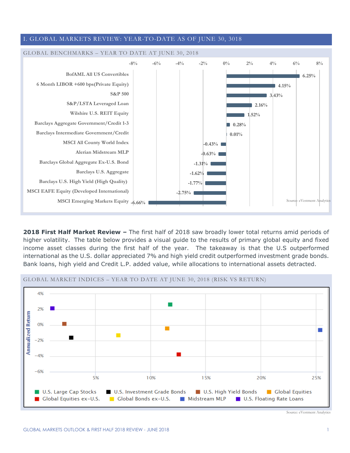

**2018 First Half Market Review –** The first half of 2018 saw broadly lower total returns amid periods of higher volatility. The table below provides a visual guide to the results of primary global equity and fixed income asset classes during the first half of the year. The takeaway is that the U.S outperformed international as the U.S. dollar appreciated 7% and high yield credit outperformed investment grade bonds. Bank loans, high yield and Credit L.P. added value, while allocations to international assets detracted.

#### GLOBAL MARKET INDICES – YEAR TO DATE AT JUNE 30, 2018 (RISK VS RETURN)



Source: eVestment Analytics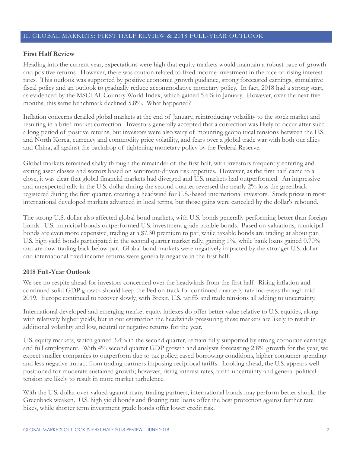#### II. GLOBAL MARKETS: FIRST HALF REVIEW & 2018 FULL-YEAR OUTLOOK

## **First Half Review**

Heading into the current year, expectations were high that equity markets would maintain a robust pace of growth and positive returns. However, there was caution related to fixed income investment in the face of rising interest rates. This outlook was supported by positive economic growth guidance, strong forecasted earnings, stimulative fiscal policy and an outlook to gradually reduce accommodative monetary policy. In fact, 2018 had a strong start, as evidenced by the MSCI All Country World Index, which gained 5.6% in January. However, over the next five months, this same benchmark declined 5.8%. What happened?

Inflation concerns derailed global markets at the end of January, reintroducing volatility to the stock market and resulting in a brief market correction. Investors generally accepted that a correction was likely to occur after such a long period of positive returns, but investors were also wary of mounting geopolitical tensions between the U.S. and North Korea, currency and commodity price volatility, and fears over a global trade war with both our allies and China, all against the backdrop of tightening monetary policy by the Federal Reserve.

Global markets remained shaky through the remainder of the first half, with investors frequently entering and exiting asset classes and sectors based on sentiment-driven risk appetites. However, as the first half came to a close, it was clear that global financial markets had diverged and U.S. markets had outperformed. An impressive and unexpected rally in the U.S. dollar during the second quarter reversed the nearly 2% loss the greenback registered during the first quarter, creating a headwind for U.S.-based international investors. Stock prices in most international developed markets advanced in local terms, but those gains were canceled by the dollar's rebound.

The strong U.S. dollar also affected global bond markets, with U.S. bonds generally performing better than foreign bonds. U.S. municipal bonds outperformed U.S. investment grade taxable bonds. Based on valuations, municipal bonds are even more expensive, trading at a \$7.30 premium to par, while taxable bonds are trading at about par. U.S. high yield bonds participated in the second quarter market rally, gaining 1%, while bank loans gained 0.70% and are now trading back below par. Global bond markets were negatively impacted by the stronger U.S. dollar and international fixed income returns were generally negative in the first half.

# **2018 Full-Year Outlook**

We see no respite ahead for investors concerned over the headwinds from the first half. Rising inflation and continued solid GDP growth should keep the Fed on track for continued quarterly rate increases through mid-2019. Europe continued to recover slowly, with Brexit, U.S. tariffs and trade tensions all adding to uncertainty.

International developed and emerging market equity indexes do offer better value relative to U.S. equities, along with relatively higher yields, but in our estimation the headwinds pressuring these markets are likely to result in additional volatility and low, neutral or negative returns for the year.

U.S. equity markets, which gained 3.4% in the second quarter, remain fully supported by strong corporate earnings and full employment. With 4% second quarter GDP growth and analysts forecasting 2.8% growth for the year, we expect smaller companies to outperform due to tax policy, eased borrowing conditions, higher consumer spending and less negative impact from trading partners imposing reciprocal tariffs. Looking ahead, the U.S. appears well positioned for moderate sustained growth; however, rising interest rates, tariff uncertainty and general political tension are likely to result in more market turbulence.

With the U.S. dollar over-valued against many trading partners, international bonds may perform better should the Greenback weaken. U.S. high yield bonds and floating rate loans offer the best protection against further rate hikes, while shorter term investment grade bonds offer lower credit risk.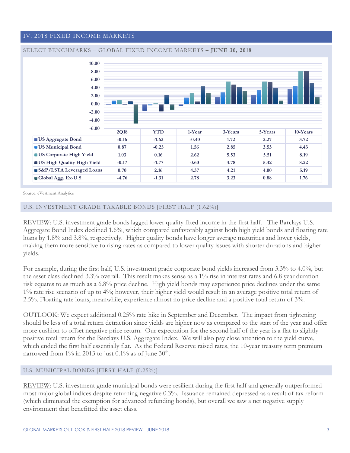#### IV. 2018 FIXED INCOME MARKETS

# **2Q18 YTD 1-Year 3-Years 5-Years 10-Years US Aggregate Bond -0.16 -1.62 -0.40 1.72 2.27 3.72 US Municipal Bond 0.87 -0.25 1.56 2.85 3.53 4.43 US Corporate High Yield 1.03 0.16 2.62 5.53 5.51 8.19 US High Quality High Yield -0.17 -1.77 0.60 4.78 5.42 8.22 S&P/LSTA Leveraged Loans 0.70 2.16 4.37 4.21 4.00 5.19 Global Agg. Ex-U.S. -4.76 -1.31 2.78 3.23 0.88 1.76 -6.00 -4.00 -2.00 0.00 2.00 4.00 6.00 8.00 10.00**

#### SELECT BENCHMARKS – GLOBAL FIXED INCOME MARKETS **– JUNE 30, 2018**

Source: eVestment Analytics

#### U.S. INVESTMENT GRADE TAXABLE BONDS [FIRST HALF (1.62%)]

REVIEW: U.S. investment grade bonds lagged lower quality fixed income in the first half. The Barclays U.S. Aggregate Bond Index declined 1.6%, which compared unfavorably against both high yield bonds and floating rate loans by 1.8% and 3.8%, respectively. Higher quality bonds have longer average maturities and lower yields, making them more sensitive to rising rates as compared to lower quality issues with shorter durations and higher yields.

For example, during the first half, U.S. investment grade corporate bond yields increased from 3.3% to 4.0%, but the asset class declined 3.3% overall. This result makes sense as a 1% rise in interest rates and 6.8 year duration risk equates to as much as a 6.8% price decline. High yield bonds may experience price declines under the same 1% rate rise scenario of up to 4%; however, their higher yield would result in an average positive total return of 2.5%. Floating rate loans, meanwhile, experience almost no price decline and a positive total return of 3%.

OUTLOOK: We expect additional 0.25% rate hike in September and December. The impact from tightening should be less of a total return detraction since yields are higher now as compared to the start of the year and offer more cushion to offset negative price return. Our expectation for the second half of the year is a flat to slightly positive total return for the Barclays U.S. Aggregate Index. We will also pay close attention to the yield curve, which ended the first half essentially flat. As the Federal Reserve raised rates, the 10-year treasury term premium narrowed from  $1\%$  in 2013 to just 0.1% as of June  $30<sup>th</sup>$ .

#### U.S. MUNICIPAL BONDS [FIRST HALF (0.25%)]

REVIEW: U.S. investment grade municipal bonds were resilient during the first half and generally outperformed most major global indices despite returning negative 0.3%. Issuance remained depressed as a result of tax reform (which eliminated the exemption for advanced refunding bonds), but overall we saw a net negative supply environment that benefitted the asset class.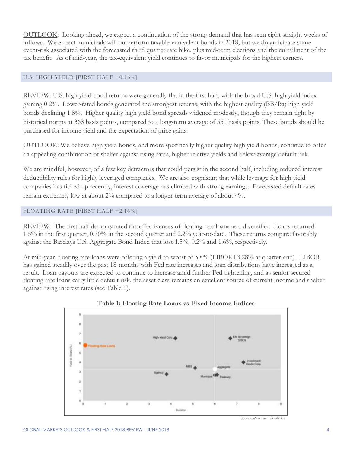OUTLOOK: Looking ahead, we expect a continuation of the strong demand that has seen eight straight weeks of inflows. We expect municipals will outperform taxable-equivalent bonds in 2018, but we do anticipate some event-risk associated with the forecasted third quarter rate hike, plus mid-term elections and the curtailment of the tax benefit. As of mid-year, the tax-equivalent yield continues to favor municipals for the highest earners.

#### U.S. HIGH YIELD [FIRST HALF +0.16%]

REVIEW: U.S. high yield bond returns were generally flat in the first half, with the broad U.S. high yield index gaining 0.2%. Lower-rated bonds generated the strongest returns, with the highest quality (BB/Ba) high yield bonds declining 1.8%. Higher quality high yield bond spreads widened modestly, though they remain tight by historical norms at 368 basis points, compared to a long-term average of 551 basis points. These bonds should be purchased for income yield and the expectation of price gains.

OUTLOOK: We believe high yield bonds, and more specifically higher quality high yield bonds, continue to offer an appealing combination of shelter against rising rates, higher relative yields and below average default risk.

We are mindful, however, of a few key detractors that could persist in the second half, including reduced interest deductibility rules for highly leveraged companies. We are also cognizant that while leverage for high yield companies has ticked up recently, interest coverage has climbed with strong earnings. Forecasted default rates remain extremely low at about 2% compared to a longer-term average of about 4%.

#### FLOATING RATE [FIRST HALF +2.16%]

REVIEW: The first half demonstrated the effectiveness of floating rate loans as a diversifier. Loans returned 1.5% in the first quarter, 0.70% in the second quarter and 2.2% year-to-date. These returns compare favorably against the Barclays U.S. Aggregate Bond Index that lost 1.5%, 0.2% and 1.6%, respectively.

At mid-year, floating rate loans were offering a yield-to-worst of 5.8% (LIBOR+3.28% at quarter-end). LIBOR has gained steadily over the past 18-months with Fed rate increases and loan distributions have increased as a result. Loan payouts are expected to continue to increase amid further Fed tightening, and as senior secured floating rate loans carry little default risk, the asset class remains an excellent source of current income and shelter against rising interest rates (see Table 1).



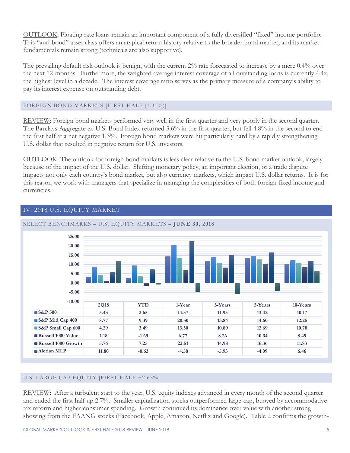OUTLOOK: Floating rate loans remain an important component of a fully diversified "fixed" income portfolio. This "anti-bond" asset class offers an atypical return history relative to the broader bond market, and its market fundamentals remain strong (technicals are also supportive).

The prevailing default risk outlook is benign, with the current 2% rate forecasted to increase by a mere 0.4% over the next 12-months. Furthermore, the weighted average interest coverage of all outstanding loans is currently 4.4x, the highest level in a decade. The interest coverage ratio serves as the primary measure of a company's ability to pay its interest expense on outstanding debt.

## FOREIGN BOND MARKETS [FIRST HALF (1.31%)]

REVIEW: Foreign bond markets performed very well in the first quarter and very poorly in the second quarter. The Barclays Aggregate ex-U.S. Bond Index returned 3.6% in the first quarter, but fell 4.8% in the second to end the first half at a net negative 1.3%. Foreign bond markets were hit particularly hard by a rapidly strengthening U.S. dollar that resulted in negative return for U.S. investors.

OUTLOOK: The outlook for foreign bond markets is less clear relative to the U.S. bond market outlook, largely because of the impact of the U.S. dollar. Shifting monetary policy, an important election, or a trade dispute impacts not only each country's bond market, but also currency markets, which impact U.S. dollar returns. It is for this reason we work with managers that specialize in managing the complexities of both foreign fixed income and currencies.



# IV. 2018 U.S. EQUITY MARKET

#### U.S. LARGE CAP EQUITY [FIRST HALF +2.65%]

REVIEW: After a turbulent start to the year, U.S. equity indexes advanced in every month of the second quarter and ended the first half up 2.7%. Smaller capitalization stocks outperformed large-cap, buoyed by accommodative tax reform and higher consumer spending. Growth continued its dominance over value with another strong showing from the FAANG stocks (Facebook, Apple, Amazon, Netflix and Google). Table 2 confirms the growth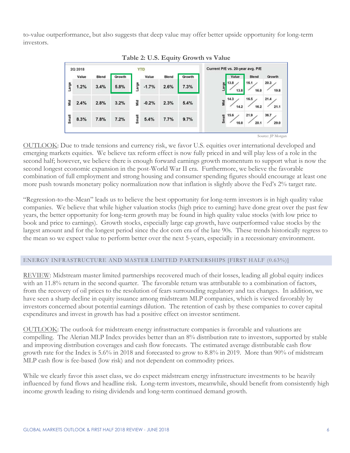to-value outperformance, but also suggests that deep value may offer better upside opportunity for long-term investors.



**Table 2: U.S. Equity Growth vs Value**

OUTLOOK: Due to trade tensions and currency risk, we favor U.S. equities over international developed and emerging markets equities. We believe tax reform effect is now fully priced in and will play less of a role in the second half; however, we believe there is enough forward earnings growth momentum to support what is now the second longest economic expansion in the post-World War II era. Furthermore, we believe the favorable combination of full employment and strong housing and consumer spending figures should encourage at least one more push towards monetary policy normalization now that inflation is slightly above the Fed's 2% target rate.

"Regression-to-the-Mean" leads us to believe the best opportunity for long-term investors is in high quality value companies. We believe that while higher valuation stocks (high price to earning) have done great over the past few years, the better opportunity for long-term growth may be found in high quality value stocks (with low price to book and price to earnings). Growth stocks, especially large cap growth, have outperformed value stocks by the largest amount and for the longest period since the dot com era of the late 90s. These trends historically regress to the mean so we expect value to perform better over the next 5-years, especially in a recessionary environment.

# ENERGY INFRASTRUCTURE AND MASTER LIMITED PARTNERSHIPS [FIRST HALF (0.63%)]

REVIEW: Midstream master limited partnerships recovered much of their losses, leading all global equity indices with an 11.8% return in the second quarter. The favorable return was attributable to a combination of factors, from the recovery of oil prices to the resolution of fears surrounding regulatory and tax changes. In addition, we have seen a sharp decline in equity issuance among midstream MLP companies, which is viewed favorably by investors concerned about potential earnings dilution. The retention of cash by these companies to cover capital expenditures and invest in growth has had a positive effect on investor sentiment.

OUTLOOK: The outlook for midstream energy infrastructure companies is favorable and valuations are compelling. The Alerian MLP Index provides better than an 8% distribution rate to investors, supported by stable and improving distribution coverages and cash flow forecasts. The estimated average distributable cash flow growth rate for the Index is 5.6% in 2018 and forecasted to grow to 8.8% in 2019. More than 90% of midstream MLP cash flow is fee-based (low risk) and not dependent on commodity prices.

While we clearly favor this asset class, we do expect midstream energy infrastructure investments to be heavily influenced by fund flows and headline risk. Long-term investors, meanwhile, should benefit from consistently high income growth leading to rising dividends and long-term continued demand growth.